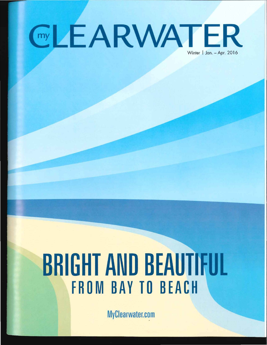# **GLEARWATER**

## **BRIGHT AND BEAUTIFUL** FROM BAY TO BEACH

MyCiearwater.com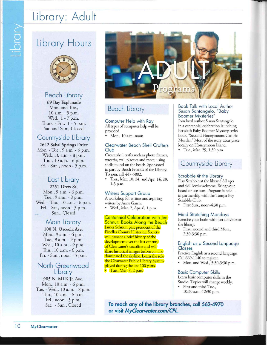## Library: Adult

## Library Hours

Vipidr



#### Beach Library

69 Bay Esplanade Mon. and Tue., 10 a.m.- 5 p.m. Wed., 1 - 7 p.m. Thurs. - Fri., 1 - 5 p.m. Sat. and Sun., Closed

#### Countryside Library

2642 Sabal Springs Drive Mon. - Tue., 9 a.m. - 6 p.m. Wed., 10 a.m. - 8 p.m. Thu., 10 a.m. - 6 p.m. Fri. - Sun., noon - 5 p.m.

### East Library

2251 Drew St. Mon., 9 a.m. - 6 p.m. Tue., 9 a.m. - 8 p.m. Wed.- Thu., 10 a.m.- 6 p.m. Fri. - Sat., noon - 5 p.m. Sun., Closed

#### Main Library

100 N. Osceola Ave. Mon., 9 a.m. - 6 p.m. Tue., 9 a.m. - 9 p.m. Wed., 10 a.m. - 9 p.m. Thu., 10 a.m. - 6 p.m. Fri. - Sun., noon - 5 p.m.

#### North Greenwood **Library**

905 N. MLKJr. Ave. Mon., 10 a.m.- 6 p.m. Tue.- Wed., 10 a.m.- 8 p.m. Thu., 10 a.m. - 6 p.m. Fri., noon  $-5$  p.m. Sat., - Sun., Closed



#### Beach Library

Computer Help with Ray All types of computer help will be provided.

• Mon., 10 a.m.-noon

#### Clearwater Beach Shell Crofters Club

Create shell crafts such as photo frames, wreaths, wall plaques and more, using shells found on the beach. Sponsored in part by Beach Friends of the Library. To join, call447-5882.

• Thu., Mar. 10, 24, and Apr. 14, 28, 1-3 p.m.

#### Writers Support Group

A workshop for writers and aspiring writers by Anne Garris.

• Wed., Mar. 2, Apr. 6, 1 p.m.

Centennial Celebration with Jim Schnur: Books Along the Beach James Schnur, past president of the Pinellas County Historical Society will present a brief history of the development over the last century of Clearwater's coastline and will share historical images before condos dominated the skyline. Learn the role the Clearwater Public Library System played during the last 100 years.  $\bullet$  Tue., Mar.  $8, 2$  p.m.

#### Book Talk with Local Author Susan Santangelo, "Baby Boomer Mysteries"

Join local author Susan Santangelo in a centennial celebration launching her sixth Baby Boomer Mystery series book, "Second Honeymoons Can Be Murder." Most of the story takes place locally on Honeymoon Island.

• Tue., Mar. 29, 1:30 p.m.

#### Countryside Library

#### Scrabble @ the Library

Play Scrabble at the library! All ages and skill levels welcome. Bring your board or use ours. Program is held in partnership with the Tampa Bay Scrabble Club.

• First Sun., noon-4:30 p.m.

#### Mind Stretching Mondays

Exercise your brain with fun activities at the library.

• First, second and third Mon., 2:30-3:30 p.m.

#### English as a Second Language Classes

Practice English as a second language. Call 669-1 140 to register.

• Mon. and Wed., 3:30-5:30 p.m.

#### Basic Computer Skills

Learn basic computer skills in the Studio. Topics will change weekly.

• First and third Tue., 10:30 a.m.-12:30 p.m.

**To reach any of the library branches, call 562-4970 or visit** *MyC/earwater.com/CPL.*